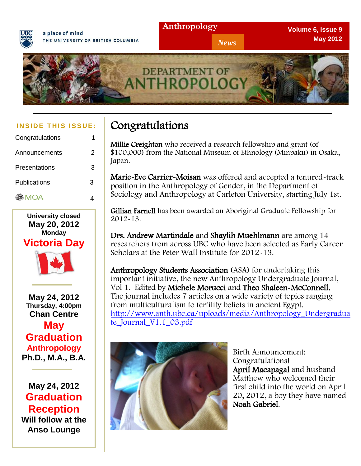



| Congratulations | 1 |
|-----------------|---|
| Announcements   | 2 |
| Presentations   | 3 |
| Publications    | 3 |
| <b>MOA</b>      |   |



**May 24, 2012 Thursday, 4:00pm Chan Centre May Graduation Anthropology Ph.D., M.A., B.A.**

**May 24, 2012 Graduation Reception Will follow at the Anso Lounge**

# **INSIDE THIS ISSUE: Congratulations**

Millie Creighton who received a research fellowship and grant (of \$100,000) from the National Museum of Ethnology (Minpaku) in Osaka, Japan.

*News*

Marie-Eve Carrier-Moisan was offered and accepted a tenured-track position in the Anthropology of Gender, in the Department of Sociology and Anthropology at Carleton University, starting July 1st.

Gillian Farnell has been awarded an Aboriginal Graduate Fellowship for 2012-13.

Drs. Andrew Martindale and Shaylih Muehlmann are among 14 researchers from across UBC who have been selected as Early Career Scholars at the Peter Wall Institute for 2012-13.

Anthropology Students Association (ASA) for undertaking this important initiative, the new Anthropology Undergraduate Journal, Vol 1. Edited by Michele Morucci and Theo Shaleen-McConnell. The journal includes 7 articles on a wide variety of topics ranging from multiculturalism to fertility beliefs in ancient Egypt. [http://www.anth.ubc.ca/uploads/media/Anthropology\\_Undergradua](http://www.anth.ubc.ca/uploads/media/Anthropology_Undergraduate_Journal_V1.1_03.pdf) [te\\_Journal\\_V1.1\\_03.pdf](http://www.anth.ubc.ca/uploads/media/Anthropology_Undergraduate_Journal_V1.1_03.pdf)



Birth Announcement: Congratulations! April Macapagal and husband Matthew who welcomed their first child into the world on April 20, 2012, a boy they have named Noah Gabriel.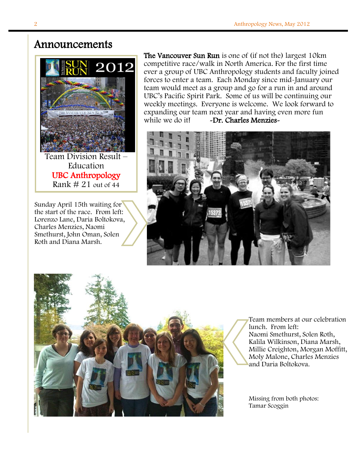## Announcements



**Education** UBC Anthropology Rank  $\#$  21 out of 44

10:11:24

Sunday April 15th waiting for the start of the race. From left: Lorenzo Lane, Daria Boltokova, Charles Menzies, Naomi Smethurst, John Oman, Solen Roth and Diana Marsh.

The Vancouver Sun Run is one of (if not the) largest 10km competitive race/walk in North America. For the first time ever a group of UBC Anthropology students and faculty joined forces to enter a team. Each Monday since mid-January our team would meet as a group and go for a run in and around UBC's Pacific Spirit Park. Some of us will be continuing our weekly meetings. Everyone is welcome. We look forward to expanding our team next year and having even more fun while we do it! -Dr. Charles Menzies-





Team members at our celebration lunch. From left: Naomi Smethurst, Solen Roth, Kalila Wilkinson, Diana Marsh, Millie Creighton, Morgan Moffitt, Moly Malone, Charles Menzies and Daria Boltokova.

Missing from both photos: Tamar Scoggin

Ī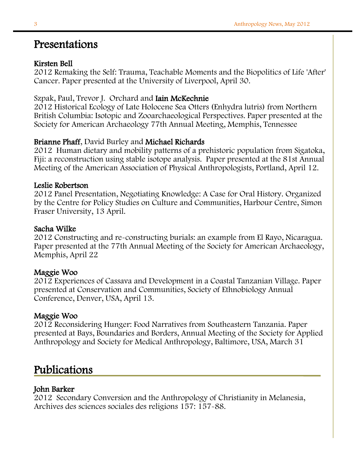## Presentations

#### Kirsten Bell

2012 Remaking the Self: Trauma, Teachable Moments and the Biopolitics of Life 'After' Cancer. Paper presented at the University of Liverpool, April 30.

## Szpak, Paul, Trevor J. Orchard and Iain McKechnie

2012 Historical Ecology of Late Holocene Sea Otters (Enhydra lutris) from Northern British Columbia: Isotopic and Zooarchaeological Perspectives. Paper presented at the Society for American Archaeology 77th Annual Meeting, Memphis, Tennessee

#### Brianne Phaff, David Burley and Michael Richards

2012 Human dietary and mobility patterns of a prehistoric population from Sigatoka, Fiji: a reconstruction using stable isotope analysis. Paper presented at the 81st Annual Meeting of the American Association of Physical Anthropologists, Portland, April 12.

#### Leslie Robertson

2012 Panel Presentation, Negotiating Knowledge: A Case for Oral History. Organized by the Centre for Policy Studies on Culture and Communities, Harbour Centre, Simon Fraser University, 13 April.

#### Sacha Wilke

2012 Constructing and re-constructing burials: an example from El Rayo, Nicaragua. Paper presented at the 77th Annual Meeting of the Society for American Archaeology, Memphis, April 22

#### Maggie Woo

2012 Experiences of Cassava and Development in a Coastal Tanzanian Village. Paper presented at Conservation and Communities, Society of Ethnobiology Annual Conference, Denver, USA, April 13.

#### Maggie Woo

2012 Reconsidering Hunger: Food Narratives from Southeastern Tanzania. Paper presented at Bays, Boundaries and Borders, Annual Meeting of the Society for Applied Anthropology and Society for Medical Anthropology, Baltimore, USA, March 31

## Publications

#### John Barker

2012 Secondary Conversion and the Anthropology of Christianity in Melanesia, Archives des sciences sociales des religions 157: 157-88.